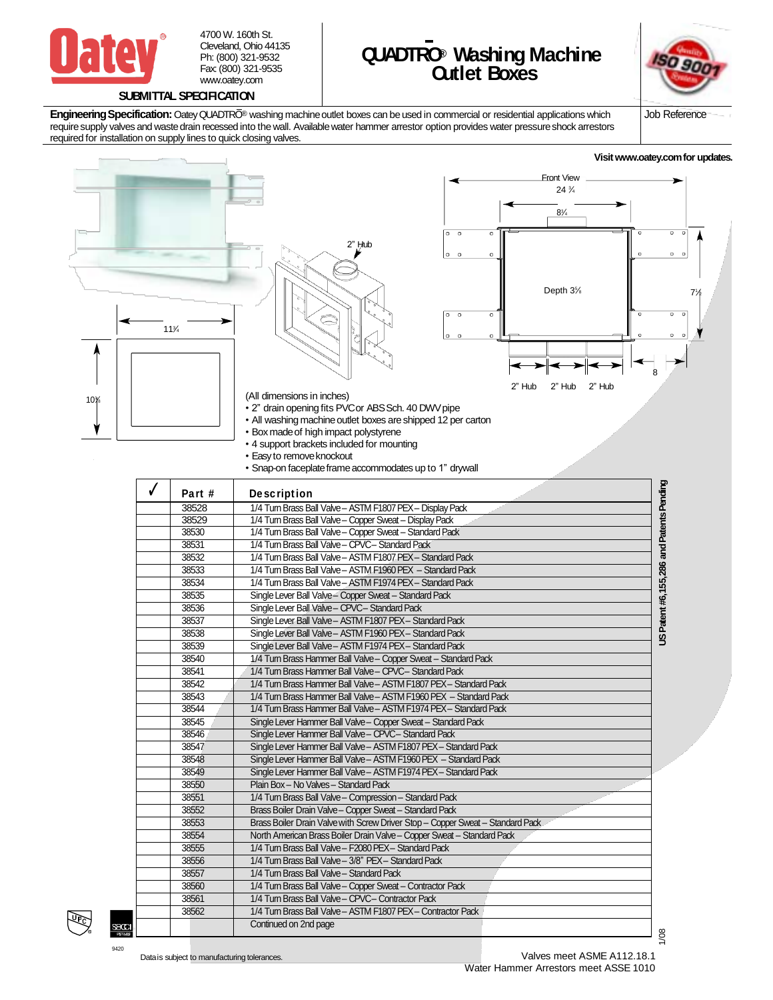

4700 W. 160th St. Cleveland, Ohio 44135 Ph: (800) 321-9532 Fax: (800) 321-9535 [www.oatey.com](http://www.oatey.com/)

## **QUADTRO® Washing Machine Outlet Boxes**



Engineering Specification: Oatey QUADTRO<sup>®</sup> washing machine outlet boxes can be used in commercial or residential applications which requiresupply valves and wastedrain recessed into the wall. Availablewater hammer arrestor option provides water pressureshock arrestors required for installation on supply lines to quick closing valves.

## Job Reference

**Visi[twww.oatey.comf](http://www.oatey.com/)or updates.**



 $2"$  Hub



- (All dimensions in inches)
- 2" drain opening fits PVCor ABSSch. 40 DWVpipe
- All washing machine outlet boxes are shipped 12 per carton
- Box made of high impact polystyrene
- 4 support brackets included for mounting
- Easy to remove knockout
	- Snap-on faceplateframeaccommodates up to 1" drywall

| US Patent #6,155,286 and Patents Pending<br>1/4 Tum Brass Ball Valve - ASTM F1807 PEX - Display Pack<br>38528<br>38529<br>1/4 Tum Brass Ball Valve - Copper Sweat - Display Pack<br>1/4 Tum Brass Ball Valve - Copper Sweat - Standard Pack<br>38530<br>38531<br>1/4 Tum Brass Ball Valve - CPVC- Standard Pack<br>1/4 Tum Brass Ball Valve - ASTM F1807 PEX - Standard Pack<br>38532<br>1/4 Tum Brass Ball Valve - ASTM F1960 PEX - Standard Pack<br>38533<br>1/4 Tum Brass Ball Valve - ASTM F1974 PEX - Standard Pack<br>38534<br>38535<br>Single Lever Ball Valve - Copper Sweat - Standard Pack<br>38536<br>Single Lever Ball Valve - CPVC-Standard Pack<br>38537<br>Single Lever Ball Valve - ASTM F1807 PEX - Standard Pack<br>Single Lever Ball Valve - ASTM F1960 PEX - Standard Pack<br>38538<br>Single Lever Ball Valve- ASTM F1974 PEX- Standard Pack<br>38539<br>38540<br>1/4 Tum Brass Hammer Ball Valve - Copper Sweat - Standard Pack<br>1/4 Tum Brass Hammer Ball Valve - CPVC- Standard Pack<br>38541<br>38542<br>1/4 Tum Brass Hammer Ball Valve - ASTM F1807 PEX - Standard Pack<br>38543<br>1/4 Tum Brass Hammer Ball Valve - ASTM F1960 PEX - Standard Pack<br>38544<br>1/4 Tum Brass Hammer Ball Valve - ASTM F1974 PEX - Standard Pack<br>38545<br>Single Lever Hammer Ball Valve - Copper Sweat - Standard Pack<br>38546<br>Single Lever Hammer Ball Valve - CPVC - Standard Pack<br>38547<br>Single Lever Hammer Ball Valve - ASTM F1807 PEX - Standard Pack<br>38548<br>Single Lever Hammer Ball Valve - ASTM F1960 PEX - Standard Pack<br>38549<br>Single Lever Hammer Ball Valve - ASTM F1974 PEX - Standard Pack<br>Plain Box - No Valves - Standard Pack<br>38550<br>38551<br>1/4 Tum Brass Ball Valve - Compression - Standard Pack<br>38552<br>Brass Boiler Drain Valve-Copper Sweat-Standard Pack<br>Brass Boiler Drain Valve with Screw Driver Stop - Copper Sweat - Standard Pack<br>38553<br>38554<br>North American Brass Boiler Drain Valve-Copper Sweat-Standard Pack<br>38555<br>1/4 Tum Brass Ball Valve - F2080 PEX - Standard Pack<br>1/4 Tum Brass Ball Valve - 3/8" PEX - Standard Pack<br>38556<br>38557<br>1/4 Tum Brass Ball Valve - Standard Pack<br>38560<br>1/4 Turn Brass Ball Valve - Copper Sweat - Contractor Pack<br>38561<br>1/4 Tum Brass Ball Valve - CPVC - Contractor Pack<br>38562<br>1/4 Tum Brass Ball Valve - ASTM F1807 PEX - Contractor Pack<br>Continued on 2nd page<br>1/08 | Part # | <b>Description</b> |  |
|---------------------------------------------------------------------------------------------------------------------------------------------------------------------------------------------------------------------------------------------------------------------------------------------------------------------------------------------------------------------------------------------------------------------------------------------------------------------------------------------------------------------------------------------------------------------------------------------------------------------------------------------------------------------------------------------------------------------------------------------------------------------------------------------------------------------------------------------------------------------------------------------------------------------------------------------------------------------------------------------------------------------------------------------------------------------------------------------------------------------------------------------------------------------------------------------------------------------------------------------------------------------------------------------------------------------------------------------------------------------------------------------------------------------------------------------------------------------------------------------------------------------------------------------------------------------------------------------------------------------------------------------------------------------------------------------------------------------------------------------------------------------------------------------------------------------------------------------------------------------------------------------------------------------------------------------------------------------------------------------------------------------------------------------------------------------------------------------------------------------------------------------------------------------------------------------------------------------------------------------------------------------------------------------------------------------------------------------------------------------------------------------------------------------------------------------------|--------|--------------------|--|
|                                                                                                                                                                                                                                                                                                                                                                                                                                                                                                                                                                                                                                                                                                                                                                                                                                                                                                                                                                                                                                                                                                                                                                                                                                                                                                                                                                                                                                                                                                                                                                                                                                                                                                                                                                                                                                                                                                                                                                                                                                                                                                                                                                                                                                                                                                                                                                                                                                                   |        |                    |  |
|                                                                                                                                                                                                                                                                                                                                                                                                                                                                                                                                                                                                                                                                                                                                                                                                                                                                                                                                                                                                                                                                                                                                                                                                                                                                                                                                                                                                                                                                                                                                                                                                                                                                                                                                                                                                                                                                                                                                                                                                                                                                                                                                                                                                                                                                                                                                                                                                                                                   |        |                    |  |
|                                                                                                                                                                                                                                                                                                                                                                                                                                                                                                                                                                                                                                                                                                                                                                                                                                                                                                                                                                                                                                                                                                                                                                                                                                                                                                                                                                                                                                                                                                                                                                                                                                                                                                                                                                                                                                                                                                                                                                                                                                                                                                                                                                                                                                                                                                                                                                                                                                                   |        |                    |  |
|                                                                                                                                                                                                                                                                                                                                                                                                                                                                                                                                                                                                                                                                                                                                                                                                                                                                                                                                                                                                                                                                                                                                                                                                                                                                                                                                                                                                                                                                                                                                                                                                                                                                                                                                                                                                                                                                                                                                                                                                                                                                                                                                                                                                                                                                                                                                                                                                                                                   |        |                    |  |
|                                                                                                                                                                                                                                                                                                                                                                                                                                                                                                                                                                                                                                                                                                                                                                                                                                                                                                                                                                                                                                                                                                                                                                                                                                                                                                                                                                                                                                                                                                                                                                                                                                                                                                                                                                                                                                                                                                                                                                                                                                                                                                                                                                                                                                                                                                                                                                                                                                                   |        |                    |  |
|                                                                                                                                                                                                                                                                                                                                                                                                                                                                                                                                                                                                                                                                                                                                                                                                                                                                                                                                                                                                                                                                                                                                                                                                                                                                                                                                                                                                                                                                                                                                                                                                                                                                                                                                                                                                                                                                                                                                                                                                                                                                                                                                                                                                                                                                                                                                                                                                                                                   |        |                    |  |
|                                                                                                                                                                                                                                                                                                                                                                                                                                                                                                                                                                                                                                                                                                                                                                                                                                                                                                                                                                                                                                                                                                                                                                                                                                                                                                                                                                                                                                                                                                                                                                                                                                                                                                                                                                                                                                                                                                                                                                                                                                                                                                                                                                                                                                                                                                                                                                                                                                                   |        |                    |  |
|                                                                                                                                                                                                                                                                                                                                                                                                                                                                                                                                                                                                                                                                                                                                                                                                                                                                                                                                                                                                                                                                                                                                                                                                                                                                                                                                                                                                                                                                                                                                                                                                                                                                                                                                                                                                                                                                                                                                                                                                                                                                                                                                                                                                                                                                                                                                                                                                                                                   |        |                    |  |
|                                                                                                                                                                                                                                                                                                                                                                                                                                                                                                                                                                                                                                                                                                                                                                                                                                                                                                                                                                                                                                                                                                                                                                                                                                                                                                                                                                                                                                                                                                                                                                                                                                                                                                                                                                                                                                                                                                                                                                                                                                                                                                                                                                                                                                                                                                                                                                                                                                                   |        |                    |  |
|                                                                                                                                                                                                                                                                                                                                                                                                                                                                                                                                                                                                                                                                                                                                                                                                                                                                                                                                                                                                                                                                                                                                                                                                                                                                                                                                                                                                                                                                                                                                                                                                                                                                                                                                                                                                                                                                                                                                                                                                                                                                                                                                                                                                                                                                                                                                                                                                                                                   |        |                    |  |
|                                                                                                                                                                                                                                                                                                                                                                                                                                                                                                                                                                                                                                                                                                                                                                                                                                                                                                                                                                                                                                                                                                                                                                                                                                                                                                                                                                                                                                                                                                                                                                                                                                                                                                                                                                                                                                                                                                                                                                                                                                                                                                                                                                                                                                                                                                                                                                                                                                                   |        |                    |  |
|                                                                                                                                                                                                                                                                                                                                                                                                                                                                                                                                                                                                                                                                                                                                                                                                                                                                                                                                                                                                                                                                                                                                                                                                                                                                                                                                                                                                                                                                                                                                                                                                                                                                                                                                                                                                                                                                                                                                                                                                                                                                                                                                                                                                                                                                                                                                                                                                                                                   |        |                    |  |
|                                                                                                                                                                                                                                                                                                                                                                                                                                                                                                                                                                                                                                                                                                                                                                                                                                                                                                                                                                                                                                                                                                                                                                                                                                                                                                                                                                                                                                                                                                                                                                                                                                                                                                                                                                                                                                                                                                                                                                                                                                                                                                                                                                                                                                                                                                                                                                                                                                                   |        |                    |  |
|                                                                                                                                                                                                                                                                                                                                                                                                                                                                                                                                                                                                                                                                                                                                                                                                                                                                                                                                                                                                                                                                                                                                                                                                                                                                                                                                                                                                                                                                                                                                                                                                                                                                                                                                                                                                                                                                                                                                                                                                                                                                                                                                                                                                                                                                                                                                                                                                                                                   |        |                    |  |
|                                                                                                                                                                                                                                                                                                                                                                                                                                                                                                                                                                                                                                                                                                                                                                                                                                                                                                                                                                                                                                                                                                                                                                                                                                                                                                                                                                                                                                                                                                                                                                                                                                                                                                                                                                                                                                                                                                                                                                                                                                                                                                                                                                                                                                                                                                                                                                                                                                                   |        |                    |  |
|                                                                                                                                                                                                                                                                                                                                                                                                                                                                                                                                                                                                                                                                                                                                                                                                                                                                                                                                                                                                                                                                                                                                                                                                                                                                                                                                                                                                                                                                                                                                                                                                                                                                                                                                                                                                                                                                                                                                                                                                                                                                                                                                                                                                                                                                                                                                                                                                                                                   |        |                    |  |
|                                                                                                                                                                                                                                                                                                                                                                                                                                                                                                                                                                                                                                                                                                                                                                                                                                                                                                                                                                                                                                                                                                                                                                                                                                                                                                                                                                                                                                                                                                                                                                                                                                                                                                                                                                                                                                                                                                                                                                                                                                                                                                                                                                                                                                                                                                                                                                                                                                                   |        |                    |  |
|                                                                                                                                                                                                                                                                                                                                                                                                                                                                                                                                                                                                                                                                                                                                                                                                                                                                                                                                                                                                                                                                                                                                                                                                                                                                                                                                                                                                                                                                                                                                                                                                                                                                                                                                                                                                                                                                                                                                                                                                                                                                                                                                                                                                                                                                                                                                                                                                                                                   |        |                    |  |
|                                                                                                                                                                                                                                                                                                                                                                                                                                                                                                                                                                                                                                                                                                                                                                                                                                                                                                                                                                                                                                                                                                                                                                                                                                                                                                                                                                                                                                                                                                                                                                                                                                                                                                                                                                                                                                                                                                                                                                                                                                                                                                                                                                                                                                                                                                                                                                                                                                                   |        |                    |  |
|                                                                                                                                                                                                                                                                                                                                                                                                                                                                                                                                                                                                                                                                                                                                                                                                                                                                                                                                                                                                                                                                                                                                                                                                                                                                                                                                                                                                                                                                                                                                                                                                                                                                                                                                                                                                                                                                                                                                                                                                                                                                                                                                                                                                                                                                                                                                                                                                                                                   |        |                    |  |
|                                                                                                                                                                                                                                                                                                                                                                                                                                                                                                                                                                                                                                                                                                                                                                                                                                                                                                                                                                                                                                                                                                                                                                                                                                                                                                                                                                                                                                                                                                                                                                                                                                                                                                                                                                                                                                                                                                                                                                                                                                                                                                                                                                                                                                                                                                                                                                                                                                                   |        |                    |  |
|                                                                                                                                                                                                                                                                                                                                                                                                                                                                                                                                                                                                                                                                                                                                                                                                                                                                                                                                                                                                                                                                                                                                                                                                                                                                                                                                                                                                                                                                                                                                                                                                                                                                                                                                                                                                                                                                                                                                                                                                                                                                                                                                                                                                                                                                                                                                                                                                                                                   |        |                    |  |
|                                                                                                                                                                                                                                                                                                                                                                                                                                                                                                                                                                                                                                                                                                                                                                                                                                                                                                                                                                                                                                                                                                                                                                                                                                                                                                                                                                                                                                                                                                                                                                                                                                                                                                                                                                                                                                                                                                                                                                                                                                                                                                                                                                                                                                                                                                                                                                                                                                                   |        |                    |  |
|                                                                                                                                                                                                                                                                                                                                                                                                                                                                                                                                                                                                                                                                                                                                                                                                                                                                                                                                                                                                                                                                                                                                                                                                                                                                                                                                                                                                                                                                                                                                                                                                                                                                                                                                                                                                                                                                                                                                                                                                                                                                                                                                                                                                                                                                                                                                                                                                                                                   |        |                    |  |
|                                                                                                                                                                                                                                                                                                                                                                                                                                                                                                                                                                                                                                                                                                                                                                                                                                                                                                                                                                                                                                                                                                                                                                                                                                                                                                                                                                                                                                                                                                                                                                                                                                                                                                                                                                                                                                                                                                                                                                                                                                                                                                                                                                                                                                                                                                                                                                                                                                                   |        |                    |  |
|                                                                                                                                                                                                                                                                                                                                                                                                                                                                                                                                                                                                                                                                                                                                                                                                                                                                                                                                                                                                                                                                                                                                                                                                                                                                                                                                                                                                                                                                                                                                                                                                                                                                                                                                                                                                                                                                                                                                                                                                                                                                                                                                                                                                                                                                                                                                                                                                                                                   |        |                    |  |
|                                                                                                                                                                                                                                                                                                                                                                                                                                                                                                                                                                                                                                                                                                                                                                                                                                                                                                                                                                                                                                                                                                                                                                                                                                                                                                                                                                                                                                                                                                                                                                                                                                                                                                                                                                                                                                                                                                                                                                                                                                                                                                                                                                                                                                                                                                                                                                                                                                                   |        |                    |  |
|                                                                                                                                                                                                                                                                                                                                                                                                                                                                                                                                                                                                                                                                                                                                                                                                                                                                                                                                                                                                                                                                                                                                                                                                                                                                                                                                                                                                                                                                                                                                                                                                                                                                                                                                                                                                                                                                                                                                                                                                                                                                                                                                                                                                                                                                                                                                                                                                                                                   |        |                    |  |
|                                                                                                                                                                                                                                                                                                                                                                                                                                                                                                                                                                                                                                                                                                                                                                                                                                                                                                                                                                                                                                                                                                                                                                                                                                                                                                                                                                                                                                                                                                                                                                                                                                                                                                                                                                                                                                                                                                                                                                                                                                                                                                                                                                                                                                                                                                                                                                                                                                                   |        |                    |  |
|                                                                                                                                                                                                                                                                                                                                                                                                                                                                                                                                                                                                                                                                                                                                                                                                                                                                                                                                                                                                                                                                                                                                                                                                                                                                                                                                                                                                                                                                                                                                                                                                                                                                                                                                                                                                                                                                                                                                                                                                                                                                                                                                                                                                                                                                                                                                                                                                                                                   |        |                    |  |
|                                                                                                                                                                                                                                                                                                                                                                                                                                                                                                                                                                                                                                                                                                                                                                                                                                                                                                                                                                                                                                                                                                                                                                                                                                                                                                                                                                                                                                                                                                                                                                                                                                                                                                                                                                                                                                                                                                                                                                                                                                                                                                                                                                                                                                                                                                                                                                                                                                                   |        |                    |  |
|                                                                                                                                                                                                                                                                                                                                                                                                                                                                                                                                                                                                                                                                                                                                                                                                                                                                                                                                                                                                                                                                                                                                                                                                                                                                                                                                                                                                                                                                                                                                                                                                                                                                                                                                                                                                                                                                                                                                                                                                                                                                                                                                                                                                                                                                                                                                                                                                                                                   |        |                    |  |
|                                                                                                                                                                                                                                                                                                                                                                                                                                                                                                                                                                                                                                                                                                                                                                                                                                                                                                                                                                                                                                                                                                                                                                                                                                                                                                                                                                                                                                                                                                                                                                                                                                                                                                                                                                                                                                                                                                                                                                                                                                                                                                                                                                                                                                                                                                                                                                                                                                                   |        |                    |  |
|                                                                                                                                                                                                                                                                                                                                                                                                                                                                                                                                                                                                                                                                                                                                                                                                                                                                                                                                                                                                                                                                                                                                                                                                                                                                                                                                                                                                                                                                                                                                                                                                                                                                                                                                                                                                                                                                                                                                                                                                                                                                                                                                                                                                                                                                                                                                                                                                                                                   |        |                    |  |



9420

SBCC